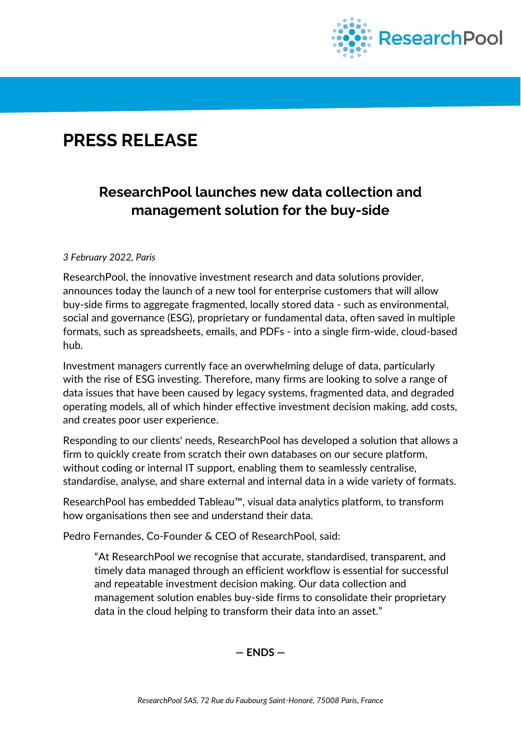

# **PRESS RELEASE**

## **ResearchPool launches new data collection and management solution for the buy-side**

#### *3 February 2022, Paris*

ResearchPool, the innovative investment research and data solutions provider, announces today the launch of a new tool for enterprise customers that will allow buy-side firms to aggregate fragmented, locally stored data - such as environmental, social and governance (ESG), proprietary or fundamental data, often saved in multiple formats, such as spreadsheets, emails, and PDFs - into a single firm-wide, cloud-based hub.

Investment managers currently face an overwhelming deluge of data, particularly with the rise of ESG investing. Therefore, many firms are looking to solve a range of data issues that have been caused by legacy systems, fragmented data, and degraded operating models, all of which hinder effective investment decision making, add costs, and creates poor user experience.

Responding to our clients' needs, ResearchPool has developed a solution that allows a firm to quickly create from scratch their own databases on our secure platform, without coding or internal IT support, enabling them to seamlessly centralise, standardise, analyse, and share external and internal data in a wide variety of formats.

ResearchPool has embedded Tableau™, visual data analytics platform, to transform how organisations then see and understand their data.

Pedro Fernandes, Co-Founder & CEO of ResearchPool, said:

"At ResearchPool we recognise that accurate, standardised, transparent, and timely data managed through an efficient workflow is essential for successful and repeatable investment decision making. Our data collection and management solution enables buy-side firms to consolidate their proprietary data in the cloud helping to transform their data into an asset."

**— ENDS —**